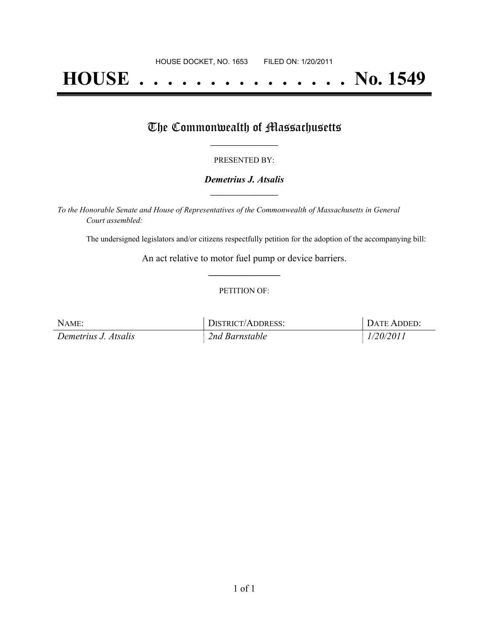# **HOUSE . . . . . . . . . . . . . . . No. 1549**

## The Commonwealth of Massachusetts

#### PRESENTED BY:

#### *Demetrius J. Atsalis* **\_\_\_\_\_\_\_\_\_\_\_\_\_\_\_\_\_**

*To the Honorable Senate and House of Representatives of the Commonwealth of Massachusetts in General Court assembled:*

The undersigned legislators and/or citizens respectfully petition for the adoption of the accompanying bill:

An act relative to motor fuel pump or device barriers. **\_\_\_\_\_\_\_\_\_\_\_\_\_\_\_**

#### PETITION OF:

| NAME:                | DISTRICT/ADDRESS: | DATE ADDED: |
|----------------------|-------------------|-------------|
| Demetrius J. Atsalis | 2nd Barnstable    | 1/20/2011   |